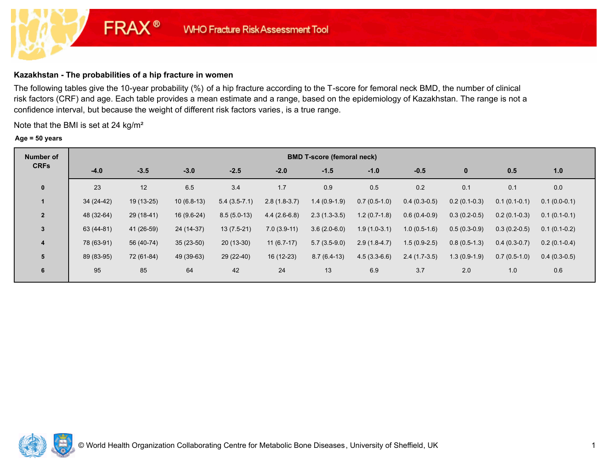# **Kazakhstan - The probabilities of a hip fracture in women**

**FRAX®** 

The following tables give the 10-year probability (%) of a hip fracture according to the T-score for femoral neck BMD, the number of clinical risk factors (CRF) and age. Each table provides a mean estimate and a range, based on the epidemiology of Kazakhstan. The range is not a confidence interval, but because the weight of different risk factors varies, is a true range.

Note that the BMI is set at 24 kg/m²

#### **Age = 50 years**

| Number of      | <b>BMD T-score (femoral neck)</b> |             |              |                |                |                |                |                |                |                |                |  |  |
|----------------|-----------------------------------|-------------|--------------|----------------|----------------|----------------|----------------|----------------|----------------|----------------|----------------|--|--|
| <b>CRFs</b>    | $-4.0$                            | $-3.5$      | $-3.0$       | $-2.5$         | $-2.0$         | $-1.5$         | $-1.0$         | $-0.5$         | $\mathbf 0$    | 0.5            | 1.0            |  |  |
| $\mathbf 0$    | 23                                | 12          | 6.5          | 3.4            | 1.7            | 0.9            | 0.5            | 0.2            | 0.1            | 0.1            | 0.0            |  |  |
| $\mathbf 1$    | $34(24-42)$                       | $19(13-25)$ | $10(6.8-13)$ | $5.4(3.5-7.1)$ | $2.8(1.8-3.7)$ | $1.4(0.9-1.9)$ | $0.7(0.5-1.0)$ | $0.4(0.3-0.5)$ | $0.2(0.1-0.3)$ | $0.1(0.1-0.1)$ | $0.1(0.0-0.1)$ |  |  |
| $\overline{2}$ | 48 (32-64)                        | $29(18-41)$ | 16 (9.6-24)  | $8.5(5.0-13)$  | $4.4(2.6-6.8)$ | $2.3(1.3-3.5)$ | $1.2(0.7-1.8)$ | $0.6(0.4-0.9)$ | $0.3(0.2-0.5)$ | $0.2(0.1-0.3)$ | $0.1(0.1-0.1)$ |  |  |
| $\mathbf{3}$   | 63 (44-81)                        | 41 (26-59)  | 24 (14-37)   | $13(7.5-21)$   | $7.0(3.9-11)$  | $3.6(2.0-6.0)$ | $1.9(1.0-3.1)$ | $1.0(0.5-1.6)$ | $0.5(0.3-0.9)$ | $0.3(0.2-0.5)$ | $0.1(0.1-0.2)$ |  |  |
| $\overline{4}$ | 78 (63-91)                        | 56 (40-74)  | $35(23-50)$  | $20(13-30)$    | $11(6.7-17)$   | $5.7(3.5-9.0)$ | $2.9(1.8-4.7)$ | $1.5(0.9-2.5)$ | $0.8(0.5-1.3)$ | $0.4(0.3-0.7)$ | $0.2(0.1-0.4)$ |  |  |
| 5              | 89 (83-95)                        | 72 (61-84)  | 49 (39-63)   | 29 (22-40)     | $16(12-23)$    | $8.7(6.4-13)$  | $4.5(3.3-6.6)$ | $2.4(1.7-3.5)$ | $1.3(0.9-1.9)$ | $0.7(0.5-1.0)$ | $0.4(0.3-0.5)$ |  |  |
| 6              | 95                                | 85          | 64           | 42             | 24             | 13             | 6.9            | 3.7            | 2.0            | 1.0            | 0.6            |  |  |

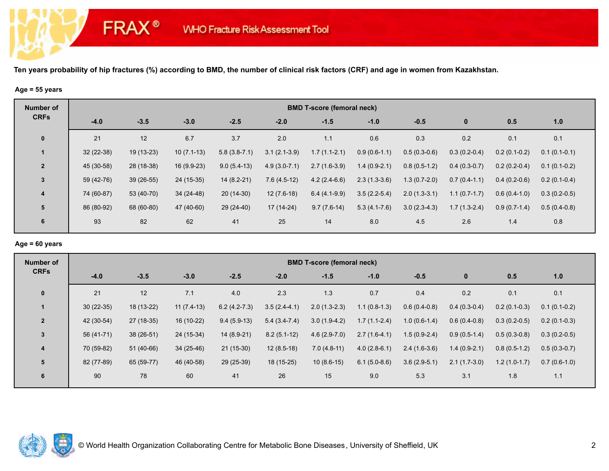#### **Age = 55 years**

**FRAX®** 

| <b>Number of</b> | <b>BMD T-score (femoral neck)</b> |             |              |                |                  |                |                |                |                |                |                |  |  |
|------------------|-----------------------------------|-------------|--------------|----------------|------------------|----------------|----------------|----------------|----------------|----------------|----------------|--|--|
| <b>CRFs</b>      | $-4.0$                            | $-3.5$      | $-3.0$       | $-2.5$         | $-2.0$           | $-1.5$         | $-1.0$         | $-0.5$         | $\bf{0}$       | 0.5            | 1.0            |  |  |
| $\mathbf 0$      | 21                                | 12          | 6.7          | 3.7            | 2.0              | 1.1            | 0.6            | 0.3            | 0.2            | 0.1            | 0.1            |  |  |
|                  | $32(22-38)$                       | 19 (13-23)  | $10(7.1-13)$ | $5.8(3.8-7.1)$ | $3.1(2.1-3.9)$   | $1.7(1.1-2.1)$ | $0.9(0.6-1.1)$ | $0.5(0.3-0.6)$ | $0.3(0.2-0.4)$ | $0.2(0.1-0.2)$ | $0.1(0.1-0.1)$ |  |  |
| $\overline{2}$   | 45 (30-58)                        | 28 (18-38)  | $16(9.9-23)$ | $9.0(5.4-13)$  | $4.9(3.0 - 7.1)$ | $2.7(1.6-3.9)$ | $1.4(0.9-2.1)$ | $0.8(0.5-1.2)$ | $0.4(0.3-0.7)$ | $0.2(0.2-0.4)$ | $0.1(0.1-0.2)$ |  |  |
| $\mathbf{3}$     | 59 (42-76)                        | $39(26-55)$ | 24 (15-35)   | $14(8.2-21)$   | $7.6(4.5-12)$    | $4.2(2.4-6.6)$ | $2.3(1.3-3.6)$ | $1.3(0.7-2.0)$ | $0.7(0.4-1.1)$ | $0.4(0.2-0.6)$ | $0.2(0.1-0.4)$ |  |  |
| $\overline{4}$   | 74 (60-87)                        | 53 (40-70)  | 34 (24-48)   | $20(14-30)$    | $12(7.6-18)$     | $6.4(4.1-9.9)$ | $3.5(2.2-5.4)$ | $2.0(1.3-3.1)$ | $1.1(0.7-1.7)$ | $0.6(0.4-1.0)$ | $0.3(0.2-0.5)$ |  |  |
| 5                | 86 (80-92)                        | 68 (60-80)  | 47 (40-60)   | 29 (24-40)     | 17 (14-24)       | $9.7(7.6-14)$  | $5.3(4.1-7.6)$ | $3.0(2.3-4.3)$ | $1.7(1.3-2.4)$ | $0.9(0.7-1.4)$ | $0.5(0.4-0.8)$ |  |  |
| 6                | 93                                | 82          | 62           | 41             | 25               | 14             | 8.0            | 4.5            | 2.6            | 1.4            | 0.8            |  |  |

# **Age = 60 years**

| Number of      | <b>BMD T-score (femoral neck)</b> |             |              |                |                |                |                |                |                |                |                |  |  |
|----------------|-----------------------------------|-------------|--------------|----------------|----------------|----------------|----------------|----------------|----------------|----------------|----------------|--|--|
| <b>CRFs</b>    | $-4.0$                            | $-3.5$      | $-3.0$       | $-2.5$         | $-2.0$         | $-1.5$         | $-1.0$         | $-0.5$         | $\bf{0}$       | 0.5            | 1.0            |  |  |
| $\mathbf 0$    | 21                                | 12          | 7.1          | 4.0            | 2.3            | 1.3            | 0.7            | 0.4            | 0.2            | 0.1            | 0.1            |  |  |
| $\mathbf 1$    | $30(22-35)$                       | $18(13-22)$ | $11(7.4-13)$ | $6.2(4.2-7.3)$ | $3.5(2.4-4.1)$ | $2.0(1.3-2.3)$ | $1.1(0.8-1.3)$ | $0.6(0.4-0.8)$ | $0.4(0.3-0.4)$ | $0.2(0.1-0.3)$ | $0.1(0.1-0.2)$ |  |  |
| $\overline{2}$ | 42 (30-54)                        | 27 (18-35)  | 16 (10-22)   | $9.4(5.9-13)$  | $5.4(3.4-7.4)$ | $3.0(1.9-4.2)$ | $1.7(1.1-2.4)$ | $1.0(0.6-1.4)$ | $0.6(0.4-0.8)$ | $0.3(0.2-0.5)$ | $0.2(0.1-0.3)$ |  |  |
| 3              | 56 (41-71)                        | $38(26-51)$ | 24 (15-34)   | 14 (8.9-21)    | $8.2(5.1-12)$  | $4.6(2.9-7.0)$ | $2.7(1.6-4.1)$ | $1.5(0.9-2.4)$ | $0.9(0.5-1.4)$ | $0.5(0.3-0.8)$ | $0.3(0.2-0.5)$ |  |  |
| 4              | 70 (59-82)                        | $51(40-66)$ | $34(25-46)$  | $21(15-30)$    | $12(8.5-18)$   | $7.0(4.8-11)$  | $4.0(2.8-6.1)$ | $2.4(1.6-3.6)$ | $1.4(0.9-2.1)$ | $0.8(0.5-1.2)$ | $0.5(0.3-0.7)$ |  |  |
| 5              | 82 (77-89)                        | 65 (59-77)  | 46 (40-58)   | 29 (25-39)     | 18 (15-25)     | $10(8.6-15)$   | $6.1(5.0-8.6)$ | $3.6(2.9-5.1)$ | $2.1(1.7-3.0)$ | $1.2(1.0-1.7)$ | $0.7(0.6-1.0)$ |  |  |
| 6              | 90                                | 78          | 60           | 41             | 26             | 15             | 9.0            | 5.3            | 3.1            | 1.8            | 1.1            |  |  |

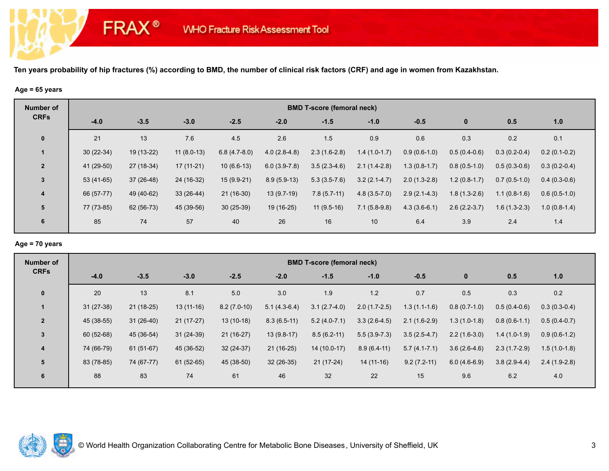#### **Age = 65 years**

**FRAX®** 

| <b>Number of</b> |             | <b>BMD T-score (femoral neck)</b> |              |                |                |                |                |                |                |                |                |  |  |  |
|------------------|-------------|-----------------------------------|--------------|----------------|----------------|----------------|----------------|----------------|----------------|----------------|----------------|--|--|--|
| <b>CRFs</b>      | $-4.0$      | $-3.5$                            | $-3.0$       | $-2.5$         | $-2.0$         | $-1.5$         | $-1.0$         | $-0.5$         | $\bf{0}$       | 0.5            | 1.0            |  |  |  |
| $\mathbf 0$      | 21          | 13                                | 7.6          | 4.5            | 2.6            | 1.5            | 0.9            | 0.6            | 0.3            | 0.2            | 0.1            |  |  |  |
|                  | $30(22-34)$ | 19 (13-22)                        | $11(8.0-13)$ | $6.8(4.7-8.0)$ | $4.0(2.8-4.8)$ | $2.3(1.6-2.8)$ | $1.4(1.0-1.7)$ | $0.9(0.6-1.0)$ | $0.5(0.4-0.6)$ | $0.3(0.2-0.4)$ | $0.2(0.1-0.2)$ |  |  |  |
| $\overline{2}$   | 41 (29-50)  | 27 (18-34)                        | $17(11-21)$  | $10(6.6-13)$   | $6.0(3.9-7.8)$ | $3.5(2.3-4.6)$ | $2.1(1.4-2.8)$ | $1.3(0.8-1.7)$ | $0.8(0.5-1.0)$ | $0.5(0.3-0.6)$ | $0.3(0.2-0.4)$ |  |  |  |
| $\mathbf{3}$     | $53(41-65)$ | $37(26-48)$                       | 24 (16-32)   | $15(9.9-21)$   | $8.9(5.9-13)$  | $5.3(3.5-7.6)$ | $3.2(2.1-4.7)$ | $2.0(1.3-2.8)$ | $1.2(0.8-1.7)$ | $0.7(0.5-1.0)$ | $0.4(0.3-0.6)$ |  |  |  |
| $\overline{4}$   | 66 (57-77)  | 49 (40-62)                        | $33(26-44)$  | $21(16-30)$    | $13(9.7-19)$   | $7.8(5.7-11)$  | $4.8(3.5-7.0)$ | $2.9(2.1-4.3)$ | $1.8(1.3-2.6)$ | $1.1(0.8-1.6)$ | $0.6(0.5-1.0)$ |  |  |  |
| 5                | 77 (73-85)  | 62 (56-73)                        | 45 (39-56)   | $30(25-39)$    | 19 (16-25)     | $11(9.5-16)$   | $7.1(5.8-9.8)$ | $4.3(3.6-6.1)$ | $2.6(2.2-3.7)$ | $1.6(1.3-2.3)$ | $1.0(0.8-1.4)$ |  |  |  |
| 6                | 85          | 74                                | 57           | 40             | 26             | 16             | 10             | 6.4            | 3.9            | 2.4            | 1.4            |  |  |  |

# **Age = 70 years**

| Number of               | <b>BMD T-score (femoral neck)</b> |             |             |               |                |                |                |                  |                |                |                |  |  |
|-------------------------|-----------------------------------|-------------|-------------|---------------|----------------|----------------|----------------|------------------|----------------|----------------|----------------|--|--|
| <b>CRFs</b>             | $-4.0$                            | $-3.5$      | $-3.0$      | $-2.5$        | $-2.0$         | $-1.5$         | $-1.0$         | $-0.5$           | $\bf{0}$       | 0.5            | 1.0            |  |  |
| $\mathbf 0$             | 20                                | 13          | 8.1         | 5.0           | 3.0            | 1.9            | 1.2            | 0.7              | 0.5            | 0.3            | 0.2            |  |  |
| $\mathbf 1$             | $31(27-38)$                       | $21(18-25)$ | $13(11-16)$ | $8.2(7.0-10)$ | $5.1(4.3-6.4)$ | $3.1(2.7-4.0)$ | $2.0(1.7-2.5)$ | $1.3(1.1-1.6)$   | $0.8(0.7-1.0)$ | $0.5(0.4-0.6)$ | $0.3(0.3-0.4)$ |  |  |
| $\overline{2}$          | 45 (38-55)                        | $31(26-40)$ | $21(17-27)$ | $13(10-18)$   | $8.3(6.5-11)$  | $5.2(4.0-7.1)$ | $3.3(2.6-4.5)$ | $2.1(1.6-2.9)$   | $1.3(1.0-1.8)$ | $0.8(0.6-1.1)$ | $0.5(0.4-0.7)$ |  |  |
| 3                       | 60 (52-68)                        | 45 (36-54)  | $31(24-39)$ | $21(16-27)$   | $13(9.8-17)$   | $8.5(6.2-11)$  | $5.5(3.9-7.3)$ | $3.5(2.5-4.7)$   | $2.2(1.6-3.0)$ | $1.4(1.0-1.9)$ | $0.9(0.6-1.2)$ |  |  |
| $\overline{\mathbf{4}}$ | 74 (66-79)                        | 61 (51-67)  | 45 (36-52)  | $32(24-37)$   | $21(16-25)$    | 14 (10.0-17)   | $8.9(6.4-11)$  | $5.7(4.1 - 7.1)$ | $3.6(2.6-4.6)$ | $2.3(1.7-2.9)$ | $1.5(1.0-1.8)$ |  |  |
| 5                       | 83 (78-85)                        | 74 (67-77)  | $61(52-65)$ | 45 (38-50)    | $32(26-35)$    | $21(17-24)$    | $14(11-16)$    | $9.2(7.2-11)$    | $6.0(4.6-6.9)$ | $3.8(2.9-4.4)$ | $2.4(1.9-2.8)$ |  |  |
| 6                       | 88                                | 83          | 74          | 61            | 46             | 32             | 22             | 15               | 9.6            | 6.2            | 4.0            |  |  |

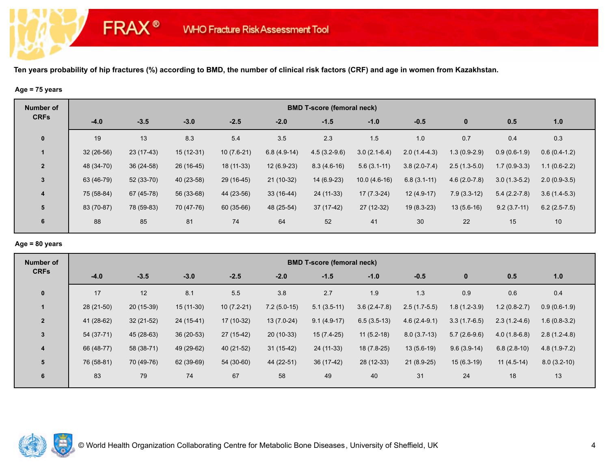#### **Age = 75 years**

**FRAX®** 

| <b>Number of</b> | <b>BMD T-score (femoral neck)</b> |             |             |              |               |                |                |                |                |                |                |  |  |
|------------------|-----------------------------------|-------------|-------------|--------------|---------------|----------------|----------------|----------------|----------------|----------------|----------------|--|--|
| <b>CRFs</b>      | $-4.0$                            | $-3.5$      | $-3.0$      | $-2.5$       | $-2.0$        | $-1.5$         | $-1.0$         | $-0.5$         | $\bf{0}$       | 0.5            | 1.0            |  |  |
| $\mathbf 0$      | 19                                | 13          | 8.3         | 5.4          | 3.5           | 2.3            | 1.5            | 1.0            | 0.7            | 0.4            | 0.3            |  |  |
|                  | $32(26-56)$                       | $23(17-43)$ | $15(12-31)$ | $10(7.6-21)$ | $6.8(4.9-14)$ | $4.5(3.2-9.6)$ | $3.0(2.1-6.4)$ | $2.0(1.4-4.3)$ | $1.3(0.9-2.9)$ | $0.9(0.6-1.9)$ | $0.6(0.4-1.2)$ |  |  |
| $\overline{2}$   | 48 (34-70)                        | $36(24-58)$ | 26 (16-45)  | 18 (11-33)   | $12(6.9-23)$  | $8.3(4.6-16)$  | $5.6(3.1-11)$  | $3.8(2.0-7.4)$ | $2.5(1.3-5.0)$ | $1.7(0.9-3.3)$ | $1.1(0.6-2.2)$ |  |  |
| $\mathbf{3}$     | 63 (46-79)                        | $52(33-70)$ | 40 (23-58)  | 29 (16-45)   | $21(10-32)$   | 14 (6.9-23)    | $10.0(4.6-16)$ | $6.8(3.1-11)$  | $4.6(2.0-7.8)$ | $3.0(1.3-5.2)$ | $2.0(0.9-3.5)$ |  |  |
| $\overline{4}$   | 75 (58-84)                        | 67 (45-78)  | 56 (33-68)  | 44 (23-56)   | $33(16-44)$   | 24 (11-33)     | $17(7.3-24)$   | $12(4.9-17)$   | $7.9(3.3-12)$  | $5.4(2.2-7.8)$ | $3.6(1.4-5.3)$ |  |  |
| 5                | 83 (70-87)                        | 78 (59-83)  | 70 (47-76)  | 60 (35-66)   | 48 (25-54)    | 37 (17-42)     | 27 (12-32)     | $19(8.3-23)$   | $13(5.6-16)$   | $9.2(3.7-11)$  | $6.2(2.5-7.5)$ |  |  |
| 6                | 88                                | 85          | 81          | 74           | 64            | 52             | 41             | 30             | 22             | 15             | 10             |  |  |

# **Age = 80 years**

| Number of               | <b>BMD T-score (femoral neck)</b> |             |             |              |               |               |                |                |                |                |                |  |  |
|-------------------------|-----------------------------------|-------------|-------------|--------------|---------------|---------------|----------------|----------------|----------------|----------------|----------------|--|--|
| <b>CRFs</b>             | $-4.0$                            | $-3.5$      | $-3.0$      | $-2.5$       | $-2.0$        | $-1.5$        | $-1.0$         | $-0.5$         | $\bf{0}$       | 0.5            | 1.0            |  |  |
| $\mathbf 0$             | 17                                | 12          | 8.1         | 5.5          | 3.8           | 2.7           | 1.9            | 1.3            | 0.9            | 0.6            | 0.4            |  |  |
| $\mathbf 1$             | $28(21-50)$                       | 20 (15-39)  | $15(11-30)$ | $10(7.2-21)$ | $7.2(5.0-15)$ | $5.1(3.5-11)$ | $3.6(2.4-7.8)$ | $2.5(1.7-5.5)$ | $1.8(1.2-3.9)$ | $1.2(0.8-2.7)$ | $0.9(0.6-1.9)$ |  |  |
| $\overline{2}$          | 41 (28-62)                        | $32(21-52)$ | 24 (15-41)  | 17 (10-32)   | $13(7.0-24)$  | $9.1(4.9-17)$ | $6.5(3.5-13)$  | $4.6(2.4-9.1)$ | $3.3(1.7-6.5)$ | $2.3(1.2-4.6)$ | $1.6(0.8-3.2)$ |  |  |
| 3                       | 54 (37-71)                        | 45 (28-63)  | $36(20-53)$ | $27(15-42)$  | $20(10-33)$   | $15(7.4-25)$  | $11(5.2-18)$   | $8.0(3.7-13)$  | $5.7(2.6-9.6)$ | $4.0(1.8-6.8)$ | $2.8(1.2-4.8)$ |  |  |
| $\overline{\mathbf{4}}$ | 66 (48-77)                        | 58 (38-71)  | 49 (29-62)  | 40 (21-52)   | $31(15-42)$   | 24 (11-33)    | 18 (7.8-25)    | $13(5.6-19)$   | $9.6(3.9-14)$  | $6.8(2.8-10)$  | $4.8(1.9-7.2)$ |  |  |
| 5                       | 76 (58-81)                        | 70 (49-76)  | 62 (39-69)  | 54 (30-60)   | 44 (22-51)    | 36 (17-42)    | 28 (12-33)     | $21(8.9-25)$   | $15(6.3-19)$   | $11(4.5-14)$   | $8.0(3.2-10)$  |  |  |
| 6                       | 83                                | 79          | 74          | 67           | 58            | 49            | 40             | 31             | 24             | 18             | 13             |  |  |